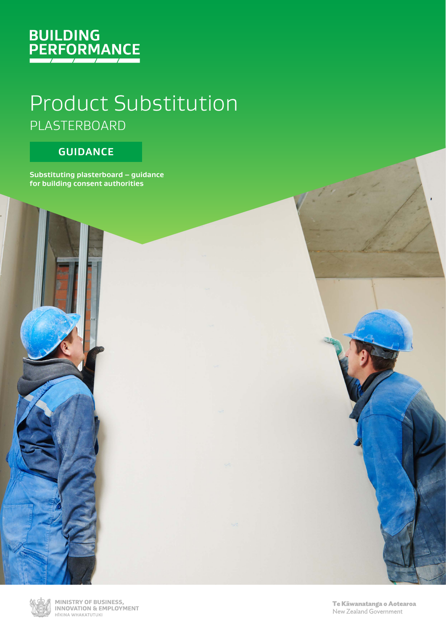

# Product Substitution PLASTERBOARD

### **GUIDANCE**

**Substituting plasterboard – guidance for building consent authorities**



MINISTRY OF BUSINESS, **INNOVATION & EMPLOYMENT** HĪKINA WHAKATUTUKI

Te Kāwanatanga o Aotearoa New Zealand Government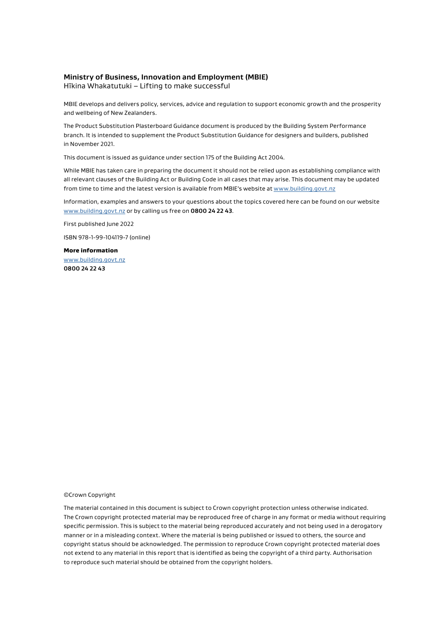#### **Ministry of Business, Innovation and Employment (MBIE)**

Hīkina Whakatutuki – Lifting to make successful

MBIE develops and delivers policy, services, advice and regulation to support economic growth and the prosperity and wellbeing of New Zealanders.

The Product Substitution Plasterboard Guidance document is produced by the Building System Performance branch. It is intended to supplement the Product Substitution Guidance for designers and builders, published in November 2021.

This document is issued as guidance under section 175 of the Building Act 2004.

While MBIE has taken care in preparing the document it should not be relied upon as establishing compliance with all relevant clauses of the Building Act or Building Code in all cases that may arise. This document may be updated from time to time and the latest version is available from MBIE's website at [www.building.govt.nz](https://www.building.govt.nzwww.building.govt.nz)

Information, examples and answers to your questions about the topics covered here can be found on our website [www.building.govt.nz](https://www.building.govt.nzwww.building.govt.nz) or by calling us free on **0800 24 22 43**.

First published June 2022

ISBN 978-1-99-104119-7 (online)

More information [www.building.govt.nz](https://www.building.govt.nzwww.building.govt.nz) **0800 24 22 43**

#### ©Crown Copyright

The material contained in this document is subject to Crown copyright protection unless otherwise indicated. The Crown copyright protected material may be reproduced free of charge in any format or media without requiring specific permission. This is subject to the material being reproduced accurately and not being used in a derogatory manner or in a misleading context. Where the material is being published or issued to others, the source and copyright status should be acknowledged. The permission to reproduce Crown copyright protected material does not extend to any material in this report that is identified as being the copyright of a third party. Authorisation to reproduce such material should be obtained from the copyright holders.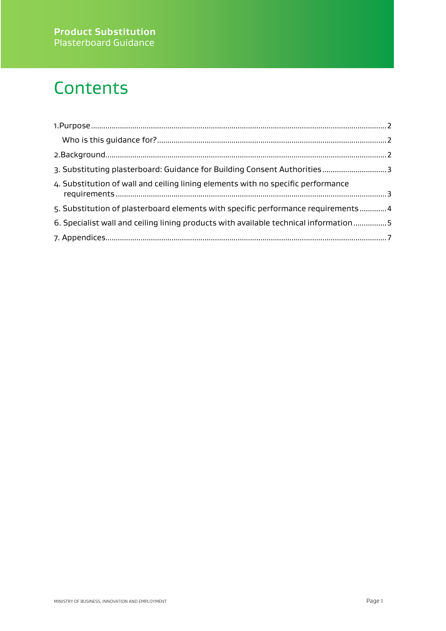# **Contents**

| 3. Substituting plasterboard: Guidance for Building Consent Authorities 3            |  |
|--------------------------------------------------------------------------------------|--|
| 4. Substitution of wall and ceiling lining elements with no specific performance     |  |
| 5. Substitution of plasterboard elements with specific performance requirements  4   |  |
| 6. Specialist wall and ceiling lining products with available technical information5 |  |
|                                                                                      |  |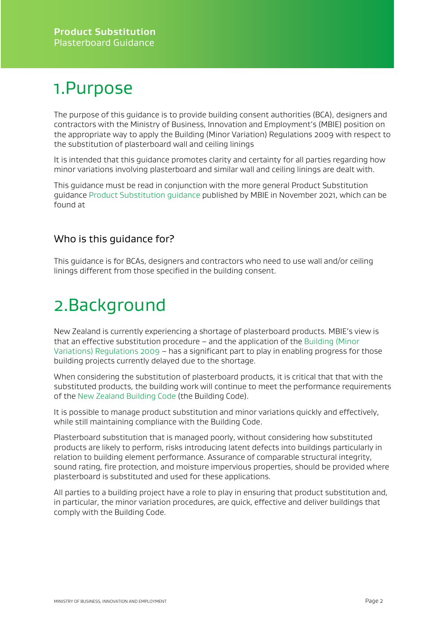### <span id="page-3-0"></span>1.Purpose

The purpose of this guidance is to provide building consent authorities (BCA), designers and contractors with the Ministry of Business, Innovation and Employment's (MBIE) position on the appropriate way to apply the Building (Minor Variation) Regulations 2009 with respect to the substitution of plasterboard wall and ceiling linings

It is intended that this guidance promotes clarity and certainty for all parties regarding how minor variations involving plasterboard and similar wall and ceiling linings are dealt with.

This guidance must be read in conjunction with the more general Product Substitution guidanc[e Product Substitution guidance](https://www.building.govt.nz/assets/Uploads/building-code-compliance/certifications-programmes/product-assurance/product-substitution.pdf) published by MBIE in November 2021, which can be found at

### <span id="page-3-1"></span>Who is this guidance for?

This guidance is for BCAs, designers and contractors who need to use wall and/or ceiling linings different from those specified in the building consent.

### <span id="page-3-2"></span>2.Background

New Zealand is currently experiencing a shortage of plasterboard products. MBIE's view is that an effective substitution procedure – and the application of the [Building \(Minor](https://www.legislation.govt.nz/regulation/public/2009/0408/latest/DLM2615667.html)  [Variations\) Regulations 2009](https://www.legislation.govt.nz/regulation/public/2009/0408/latest/DLM2615667.html) – has a significant part to play in enabling progress for those building projects currently delayed due to the shortage.

When considering the substitution of plasterboard products, it is critical that that with the substituted products, the building work will continue to meet the performance requirements of th[e New Zealand Building Code](https://www.legislation.govt.nz/regulation/public/1992/0150/latest/DLM162576.html%23DLM162576) (the Building Code).

It is possible to manage product substitution and minor variations quickly and effectively, while still maintaining compliance with the Building Code.

Plasterboard substitution that is managed poorly, without considering how substituted products are likely to perform, risks introducing latent defects into buildings particularly in relation to building element performance. Assurance of comparable structural integrity, sound rating, fire protection, and moisture impervious properties, should be provided where plasterboard is substituted and used for these applications.

<span id="page-3-3"></span>All parties to a building project have a role to play in ensuring that product substitution and, in particular, the minor variation procedures, are quick, effective and deliver buildings that comply with the Building Code.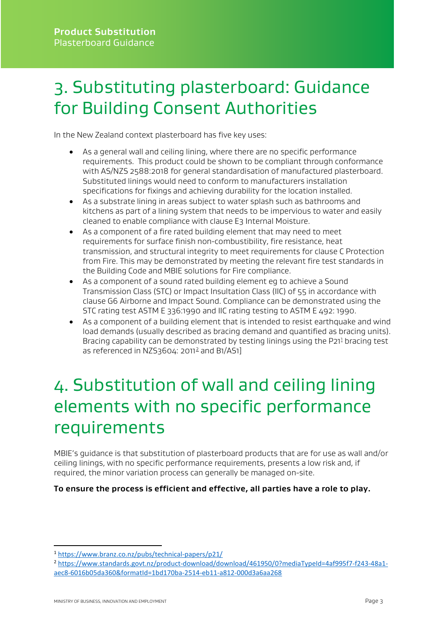## 3. Substituting plasterboard: Guidance for Building Consent Authorities

In the New Zealand context plasterboard has five key uses:

- As a general wall and ceiling lining, where there are no specific performance requirements. This product could be shown to be compliant through conformance with AS/NZS 2588:2018 for general standardisation of manufactured plasterboard. Substituted linings would need to conform to manufacturers installation specifications for fixings and achieving durability for the location installed.
- As a substrate lining in areas subject to water splash such as bathrooms and kitchens as part of a lining system that needs to be impervious to water and easily cleaned to enable compliance with clause E3 Internal Moisture.
- As a component of a fire rated building element that may need to meet requirements for surface finish non-combustibility, fire resistance, heat transmission, and structural integrity to meet requirements for clause C Protection from Fire. This may be demonstrated by meeting the relevant fire test standards in the Building Code and MBIE solutions for Fire compliance.
- As a component of a sound rated building element eg to achieve a Sound Transmission Class (STC) or Impact Insultation Class (IIC) of 55 in accordance with clause G6 Airborne and Impact Sound. Compliance can be demonstrated using the STC rating test ASTM E 336:1990 and IIC rating testing to ASTM E 492: 1990.
- As a component of a building element that is intended to resist earthquake and wind load demands (usually described as bracing demand and quantified as bracing units). Bracing capability can be demonstrated by testing linings using the P2[1](#page-4-1)<sup>1</sup> bracing test as referenced in NZS3604: [2](#page-4-2)011 $^2$  and B1/AS1]

# <span id="page-4-0"></span>4. Substitution of wall and ceiling lining elements with no specific performance requirements

MBIE's guidance is that substitution of plasterboard products that are for use as wall and/or ceiling linings, with no specific performance requirements, presents a low risk and, if required, the minor variation process can generally be managed on-site.

#### **To ensure the process is efficient and effective, all parties have a role to play.**

<span id="page-4-1"></span><sup>1</sup> <https://www.branz.co.nz/pubs/technical-papers/p21/>

<span id="page-4-2"></span><sup>2</sup> [https://www.standards.govt.nz/product-download/download/461950/0?mediaTypeId=4af995f7-f243-48a1](https://www.standards.govt.nz/product-download/download/461950/0?mediaTypeId=4af995f7-f243-48a1-aec8-6016b05da360&formatId=1bd170ba-2514-eb11-a812-000d3a6aa268) [aec8-6016b05da360&formatId=1bd170ba-2514-eb11-a812-000d3a6aa268](https://www.standards.govt.nz/product-download/download/461950/0?mediaTypeId=4af995f7-f243-48a1-aec8-6016b05da360&formatId=1bd170ba-2514-eb11-a812-000d3a6aa268)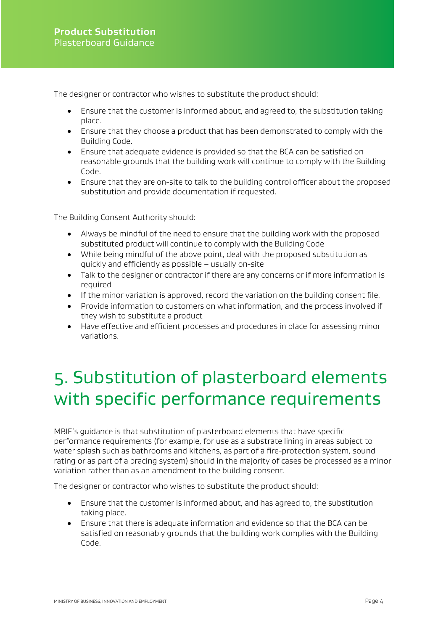The designer or contractor who wishes to substitute the product should:

- Ensure that the customer is informed about, and agreed to, the substitution taking place.
- Ensure that they choose a product that has been demonstrated to comply with the Building Code.
- Ensure that adequate evidence is provided so that the BCA can be satisfied on reasonable grounds that the building work will continue to comply with the Building Code.
- Ensure that they are on-site to talk to the building control officer about the proposed substitution and provide documentation if requested.

The Building Consent Authority should:

- Always be mindful of the need to ensure that the building work with the proposed substituted product will continue to comply with the Building Code
- While being mindful of the above point, deal with the proposed substitution as quickly and efficiently as possible – usually on-site
- Talk to the designer or contractor if there are any concerns or if more information is required
- If the minor variation is approved, record the variation on the building consent file.
- Provide information to customers on what information, and the process involved if they wish to substitute a product
- Have effective and efficient processes and procedures in place for assessing minor variations.

### <span id="page-5-0"></span>5. Substitution of plasterboard elements with specific performance requirements

MBIE's guidance is that substitution of plasterboard elements that have specific performance requirements (for example, for use as a substrate lining in areas subject to water splash such as bathrooms and kitchens, as part of a fire-protection system, sound rating or as part of a bracing system) should in the majority of cases be processed as a minor variation rather than as an amendment to the building consent.

The designer or contractor who wishes to substitute the product should:

- Ensure that the customer is informed about, and has agreed to, the substitution taking place.
- Ensure that there is adequate information and evidence so that the BCA can be satisfied on reasonably grounds that the building work complies with the Building Code.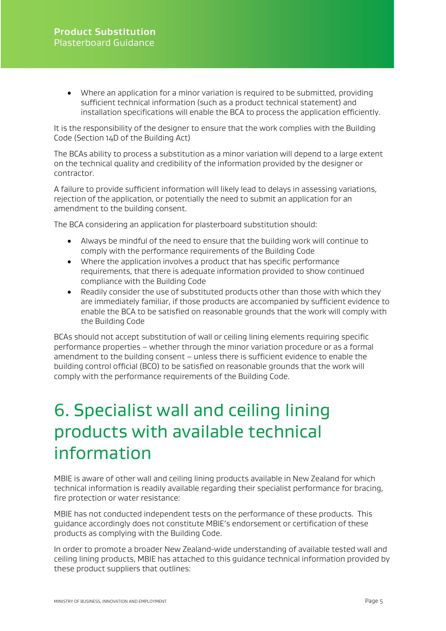• Where an application for a minor variation is required to be submitted, providing sufficient technical information (such as a product technical statement) and installation specifications will enable the BCA to process the application efficiently.

It is the responsibility of the designer to ensure that the work complies with the Building Code (Section 14D of the Building Act)

The BCAs ability to process a substitution as a minor variation will depend to a large extent on the technical quality and credibility of the information provided by the designer or contractor.

A failure to provide sufficient information will likely lead to delays in assessing variations, rejection of the application, or potentially the need to submit an application for an amendment to the building consent.

The BCA considering an application for plasterboard substitution should:

- Always be mindful of the need to ensure that the building work will continue to comply with the performance requirements of the Building Code
- Where the application involves a product that has specific performance requirements, that there is adequate information provided to show continued compliance with the Building Code
- Readily consider the use of substituted products other than those with which they are immediately familiar, if those products are accompanied by sufficient evidence to enable the BCA to be satisfied on reasonable grounds that the work will comply with the Building Code

BCAs should not accept substitution of wall or ceiling lining elements requiring specific performance properties – whether through the minor variation procedure or as a formal amendment to the building consent – unless there is sufficient evidence to enable the building control official (BCO) to be satisfied on reasonable grounds that the work will comply with the performance requirements of the Building Code.

### <span id="page-6-0"></span>6. Specialist wall and ceiling lining products with available technical information

MBIE is aware of other wall and ceiling lining products available in New Zealand for which technical information is readily available regarding their specialist performance for bracing, fire protection or water resistance:

MBIE has not conducted independent tests on the performance of these products. This guidance accordingly does not constitute MBIE's endorsement or certification of these products as complying with the Building Code.

In order to promote a broader New Zealand-wide understanding of available tested wall and ceiling lining products, MBIE has attached to this guidance technical information provided by these product suppliers that outlines: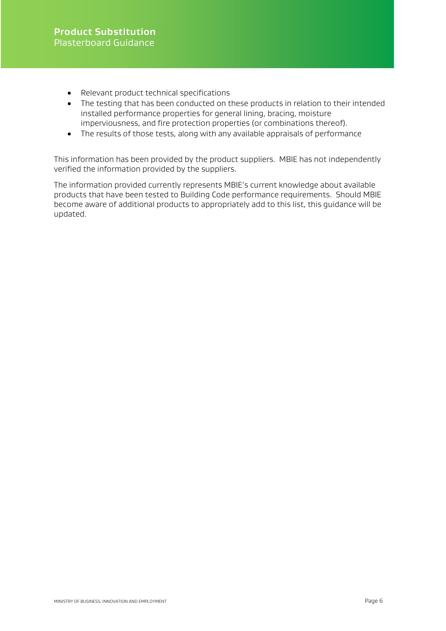- Relevant product technical specifications
- The testing that has been conducted on these products in relation to their intended installed performance properties for general lining, bracing, moisture imperviousness, and fire protection properties (or combinations thereof).
- The results of those tests, along with any available appraisals of performance

This information has been provided by the product suppliers. MBIE has not independently verified the information provided by the suppliers.

The information provided currently represents MBIE's current knowledge about available products that have been tested to Building Code performance requirements. Should MBIE become aware of additional products to appropriately add to this list, this guidance will be updated.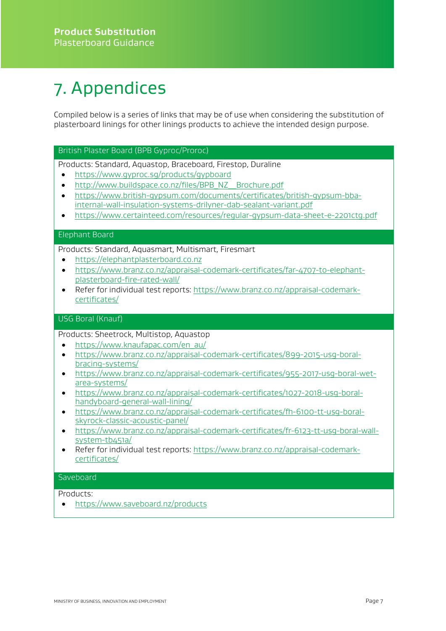# <span id="page-8-0"></span>7. Appendices

Compiled below is a series of links that may be of use when considering the substitution of plasterboard linings for other linings products to achieve the intended design purpose.

#### British Plaster Board (BPB Gyproc/Proroc)

Products: Standard, Aquastop, Braceboard, Firestop, Duraline

- <https://www.gyproc.sg/products/gypboard>
- [http://www.buildspace.co.nz/files/BPB\\_NZ\\_\\_Brochure.pdf](http://www.buildspace.co.nz/files/BPB_NZ__Brochure.pdf)
- [https://www.british-gypsum.com/documents/certificates/british-gypsum-bba](https://www.british-gypsum.com/documents/certificates/british-gypsum-bba-internal-wall-insulation-systems-drilyner-dab-sealant-variant.pdf)[internal-wall-insulation-systems-drilyner-dab-sealant-variant.pdf](https://www.british-gypsum.com/documents/certificates/british-gypsum-bba-internal-wall-insulation-systems-drilyner-dab-sealant-variant.pdf)
- <https://www.certainteed.com/resources/regular-gypsum-data-sheet-e-2201ctg.pdf>

#### Elephant Board

Products: Standard, Aquasmart, Multismart, Firesmart

- [https://elephantplasterboard.co.nz](https://elephantplasterboard.co.nz/)
- [https://www.branz.co.nz/appraisal-codemark-certificates/far-4707-to-elephant](https://www.branz.co.nz/appraisal-codemark-certificates/far-4707-to-elephant-plasterboard-fire-rated-wall/)[plasterboard-fire-rated-wall/](https://www.branz.co.nz/appraisal-codemark-certificates/far-4707-to-elephant-plasterboard-fire-rated-wall/)
- Refer for individual test reports: [https://www.branz.co.nz/appraisal-codemark](https://www.branz.co.nz/appraisal-codemark-certificates/)[certificates/](https://www.branz.co.nz/appraisal-codemark-certificates/)

#### USG Boral (Knauf)

Products: Sheetrock, Multistop, Aquastop

- [https://www.knaufapac.com/en\\_au/](https://www.knaufapac.com/en_au/)
- [https://www.branz.co.nz/appraisal-codemark-certificates/899-2015-usg-boral](https://www.branz.co.nz/appraisal-codemark-certificates/899-2015-usg-boral-bracing-systems/)[bracing-systems/](https://www.branz.co.nz/appraisal-codemark-certificates/899-2015-usg-boral-bracing-systems/)
- [https://www.branz.co.nz/appraisal-codemark-certificates/955-2017-usg-boral-wet](https://www.branz.co.nz/appraisal-codemark-certificates/955-2017-usg-boral-wet-area-systems/)[area-systems/](https://www.branz.co.nz/appraisal-codemark-certificates/955-2017-usg-boral-wet-area-systems/)
- [https://www.branz.co.nz/appraisal-codemark-certificates/1027-2018-usg-boral](https://www.branz.co.nz/appraisal-codemark-certificates/1027-2018-usg-boral-handyboard-general-wall-lining/)[handyboard-general-wall-lining/](https://www.branz.co.nz/appraisal-codemark-certificates/1027-2018-usg-boral-handyboard-general-wall-lining/)
- [https://www.branz.co.nz/appraisal-codemark-certificates/fh-6100-tt-usg-boral](https://aus01.safelinks.protection.outlook.com/?url=https%3A%2F%2Fwww.branz.co.nz%2Fappraisal-codemark-certificates%2Ffh-6100-tt-usg-boral-skyrock-classic-acoustic-panel%2F&data=05%7C01%7CLaura.Lumley%40mbie.govt.nz%7Cd03a7dd2e6dd4e38bd9308da49b3775d%7C78b2bd11e42b47eab0112e04c3af5ec1%7C0%7C0%7C637903332385589266%7CUnknown%7CTWFpbGZsb3d8eyJWIjoiMC4wLjAwMDAiLCJQIjoiV2luMzIiLCJBTiI6Ik1haWwiLCJXVCI6Mn0%3D%7C3000%7C%7C%7C&sdata=jFdRd4aZjX7eCpsQsFddTrdfG%2BAHAlV4Wu6Xa%2Ba%2BCFY%3D&reserved=0)[skyrock-classic-acoustic-panel/](https://aus01.safelinks.protection.outlook.com/?url=https%3A%2F%2Fwww.branz.co.nz%2Fappraisal-codemark-certificates%2Ffh-6100-tt-usg-boral-skyrock-classic-acoustic-panel%2F&data=05%7C01%7CLaura.Lumley%40mbie.govt.nz%7Cd03a7dd2e6dd4e38bd9308da49b3775d%7C78b2bd11e42b47eab0112e04c3af5ec1%7C0%7C0%7C637903332385589266%7CUnknown%7CTWFpbGZsb3d8eyJWIjoiMC4wLjAwMDAiLCJQIjoiV2luMzIiLCJBTiI6Ik1haWwiLCJXVCI6Mn0%3D%7C3000%7C%7C%7C&sdata=jFdRd4aZjX7eCpsQsFddTrdfG%2BAHAlV4Wu6Xa%2Ba%2BCFY%3D&reserved=0)
- [https://www.branz.co.nz/appraisal-codemark-certificates/fr-6123-tt-usg-boral-wall](https://aus01.safelinks.protection.outlook.com/?url=https%3A%2F%2Fwww.branz.co.nz%2Fappraisal-codemark-certificates%2Ffr-6123-tt-usg-boral-wall-system-tb451a%2F&data=05%7C01%7CLaura.Lumley%40mbie.govt.nz%7Cd03a7dd2e6dd4e38bd9308da49b3775d%7C78b2bd11e42b47eab0112e04c3af5ec1%7C0%7C0%7C637903332385589266%7CUnknown%7CTWFpbGZsb3d8eyJWIjoiMC4wLjAwMDAiLCJQIjoiV2luMzIiLCJBTiI6Ik1haWwiLCJXVCI6Mn0%3D%7C3000%7C%7C%7C&sdata=78IracaeScIfv7GZbHj%2FRGPXb3hreZsrdEvnfw2WKRo%3D&reserved=0)[system-tb451a/](https://aus01.safelinks.protection.outlook.com/?url=https%3A%2F%2Fwww.branz.co.nz%2Fappraisal-codemark-certificates%2Ffr-6123-tt-usg-boral-wall-system-tb451a%2F&data=05%7C01%7CLaura.Lumley%40mbie.govt.nz%7Cd03a7dd2e6dd4e38bd9308da49b3775d%7C78b2bd11e42b47eab0112e04c3af5ec1%7C0%7C0%7C637903332385589266%7CUnknown%7CTWFpbGZsb3d8eyJWIjoiMC4wLjAwMDAiLCJQIjoiV2luMzIiLCJBTiI6Ik1haWwiLCJXVCI6Mn0%3D%7C3000%7C%7C%7C&sdata=78IracaeScIfv7GZbHj%2FRGPXb3hreZsrdEvnfw2WKRo%3D&reserved=0)
- Refer for individual test reports: [https://www.branz.co.nz/appraisal-codemark](https://www.branz.co.nz/appraisal-codemark-certificates/)[certificates/](https://www.branz.co.nz/appraisal-codemark-certificates/)

#### **Saveboard**

Products:

• <https://www.saveboard.nz/products>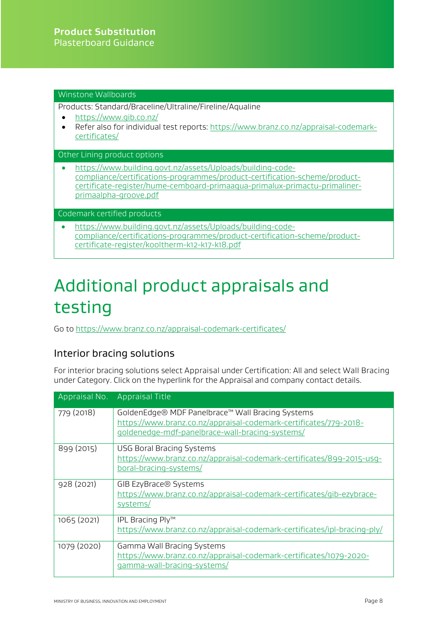#### Winstone Wallboards

Products: Standard/Braceline/Ultraline/Fireline/Aqualine

- https://www.gib.co.nz/
- Refer also for individual test reports[: https://www.branz.co.nz/appraisal-codemark](https://www.branz.co.nz/appraisal-codemark-certificates/)[certificates/](https://www.branz.co.nz/appraisal-codemark-certificates/)

Other Lining product options

• [https://www.building.govt.nz/assets/Uploads/building-code](https://www.building.govt.nz/assets/Uploads/building-code-compliance/certifications-programmes/product-certification-scheme/product-certificate-register/hume-cemboard-primaaqua-primalux-primactu-primaliner-primaalpha-groove.pdf)[compliance/certifications-programmes/product-certification-scheme/product](https://www.building.govt.nz/assets/Uploads/building-code-compliance/certifications-programmes/product-certification-scheme/product-certificate-register/hume-cemboard-primaaqua-primalux-primactu-primaliner-primaalpha-groove.pdf)[certificate-register/hume-cemboard-primaaqua-primalux-primactu-primaliner](https://www.building.govt.nz/assets/Uploads/building-code-compliance/certifications-programmes/product-certification-scheme/product-certificate-register/hume-cemboard-primaaqua-primalux-primactu-primaliner-primaalpha-groove.pdf)[primaalpha-groove.pdf](https://www.building.govt.nz/assets/Uploads/building-code-compliance/certifications-programmes/product-certification-scheme/product-certificate-register/hume-cemboard-primaaqua-primalux-primactu-primaliner-primaalpha-groove.pdf)

Codemark certified products

• [https://www.building.govt.nz/assets/Uploads/building-code](https://www.building.govt.nz/assets/Uploads/building-code-compliance/certifications-programmes/product-certification-scheme/product-certificate-register/kooltherm-k12-k17-k18.pdf)[compliance/certifications-programmes/product-certification-scheme/product](https://www.building.govt.nz/assets/Uploads/building-code-compliance/certifications-programmes/product-certification-scheme/product-certificate-register/kooltherm-k12-k17-k18.pdf)[certificate-register/kooltherm-k12-k17-k18.pdf](https://www.building.govt.nz/assets/Uploads/building-code-compliance/certifications-programmes/product-certification-scheme/product-certificate-register/kooltherm-k12-k17-k18.pdf)

### Additional product appraisals and testing

Go to<https://www.branz.co.nz/appraisal-codemark-certificates/>

#### Interior bracing solutions

For interior bracing solutions select Appraisal under Certification: All and select Wall Bracing under Category. Click on the hyperlink for the Appraisal and company contact details.

|             | Appraisal No. Appraisal Title                                                                                                                                            |
|-------------|--------------------------------------------------------------------------------------------------------------------------------------------------------------------------|
| 779 (2018)  | GoldenEdge® MDF Panelbrace™ Wall Bracing Systems<br>https://www.branz.co.nz/appraisal-codemark-certificates/779-2018-<br>qoldenedge-mdf-panelbrace-wall-bracing-systems/ |
| 899 (2015)  | <b>USG Boral Bracing Systems</b><br>https://www.branz.co.nz/appraisal-codemark-certificates/899-2015-usg-<br>boral-bracing-systems/                                      |
| 928 (2021)  | GIB EzyBrace® Systems<br>https://www.branz.co.nz/appraisal-codemark-certificates/gib-ezybrace-<br>systems/                                                               |
| 1065 (2021) | IPL Bracing Ply™<br>https://www.branz.co.nz/appraisal-codemark-certificates/ipl-bracing-ply/                                                                             |
| 1079 (2020) | Gamma Wall Bracing Systems<br>https://www.branz.co.nz/appraisal-codemark-certificates/1079-2020-<br>gamma-wall-bracing-systems/                                          |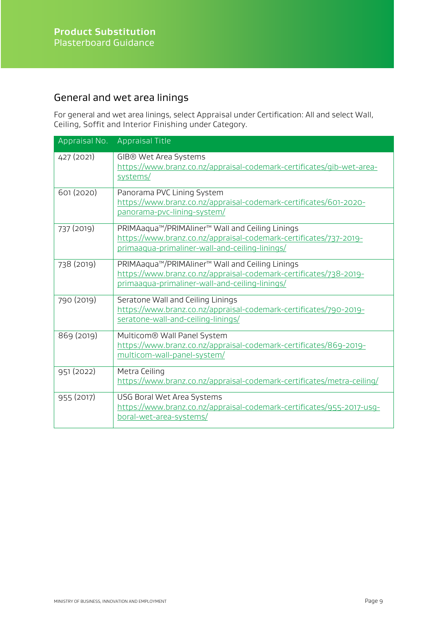### General and wet area linings

For general and wet area linings, select Appraisal under Certification: All and select Wall, Ceiling, Soffit and Interior Finishing under Category.

| Appraisal No. | <b>Appraisal Title</b>                                                                                                                                                 |
|---------------|------------------------------------------------------------------------------------------------------------------------------------------------------------------------|
| 427 (2021)    | GIB® Wet Area Systems<br>https://www.branz.co.nz/appraisal-codemark-certificates/gib-wet-area-<br>systems/                                                             |
| 601 (2020)    | Panorama PVC Lining System<br>https://www.branz.co.nz/appraisal-codemark-certificates/601-2020-<br>panorama-pvc-lining-system/                                         |
| 737 (2019)    | PRIMAaqua™/PRIMAliner™ Wall and Ceiling Linings<br>https://www.branz.co.nz/appraisal-codemark-certificates/737-2019-<br>primaaqua-primaliner-wall-and-ceiling-linings/ |
| 738 (2019)    | PRIMAaqua™/PRIMAliner™ Wall and Ceiling Linings<br>https://www.branz.co.nz/appraisal-codemark-certificates/738-2019-<br>primaaqua-primaliner-wall-and-ceiling-linings/ |
| 790 (2019)    | Seratone Wall and Ceiling Linings<br>https://www.branz.co.nz/appraisal-codemark-certificates/790-2019-<br>seratone-wall-and-ceiling-linings/                           |
| 869 (2019)    | Multicom® Wall Panel System<br>https://www.branz.co.nz/appraisal-codemark-certificates/869-2019-<br>multicom-wall-panel-system/                                        |
| 951 (2022)    | Metra Ceiling<br>https://www.branz.co.nz/appraisal-codemark-certificates/metra-ceiling/                                                                                |
| 955 (2017)    | USG Boral Wet Area Systems<br>https://www.branz.co.nz/appraisal-codemark-certificates/955-2017-usq-<br>boral-wet-area-systems/                                         |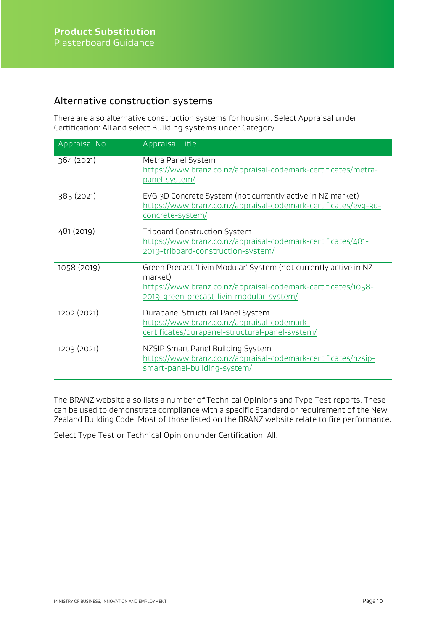#### Alternative construction systems

There are also alternative construction systems for housing. Select Appraisal under Certification: All and select Building systems under Category.

| Appraisal No. | <b>Appraisal Title</b>                                                                                                                                                                   |
|---------------|------------------------------------------------------------------------------------------------------------------------------------------------------------------------------------------|
| 364 (2021)    | Metra Panel System<br>https://www.branz.co.nz/appraisal-codemark-certificates/metra-<br>panel-system/                                                                                    |
| 385 (2021)    | EVG 3D Concrete System (not currently active in NZ market)<br>https://www.branz.co.nz/appraisal-codemark-certificates/evg-3d-<br>concrete-system/                                        |
| 481 (2019)    | <b>Triboard Construction System</b><br>https://www.branz.co.nz/appraisal-codemark-certificates/481-<br>2019-triboard-construction-system/                                                |
| 1058 (2019)   | Green Precast 'Livin Modular' System (not currently active in NZ<br>market)<br>https://www.branz.co.nz/appraisal-codemark-certificates/1058-<br>2019-green-precast-livin-modular-system/ |
| 1202 (2021)   | Durapanel Structural Panel System<br>https://www.branz.co.nz/appraisal-codemark-<br>certificates/durapanel-structural-panel-system/                                                      |
| 1203 (2021)   | NZSIP Smart Panel Building System<br>https://www.branz.co.nz/appraisal-codemark-certificates/nzsip-<br>smart-panel-building-system/                                                      |

The BRANZ website also lists a number of Technical Opinions and Type Test reports. These can be used to demonstrate compliance with a specific Standard or requirement of the New Zealand Building Code. Most of those listed on the BRANZ website relate to fire performance.

Select Type Test or Technical Opinion under Certification: All.